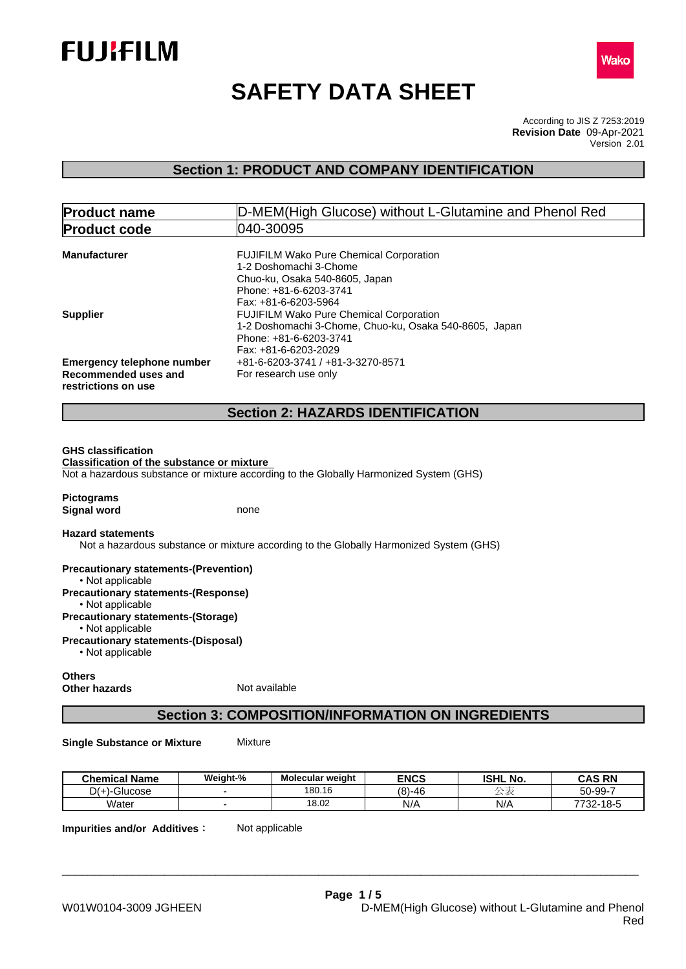



# **SAFETY DATA SHEET**

According to JIS Z 7253:2019 Version 2.01 **Revision Date** 09-Apr-2021

## **Section 1: PRODUCT AND COMPANY IDENTIFICATION**

| 040-30095<br><b>Product code</b><br><b>Manufacturer</b><br><b>FUJIFILM Wako Pure Chemical Corporation</b><br>1-2 Doshomachi 3-Chome<br>Chuo-ku, Osaka 540-8605, Japan<br>Phone: +81-6-6203-3741<br>Fax: +81-6-6203-5964<br><b>Supplier</b><br><b>FUJIFILM Wako Pure Chemical Corporation</b><br>1-2 Doshomachi 3-Chome, Chuo-ku, Osaka 540-8605, Japan<br>Phone: +81-6-6203-3741 |  |
|----------------------------------------------------------------------------------------------------------------------------------------------------------------------------------------------------------------------------------------------------------------------------------------------------------------------------------------------------------------------------------|--|
|                                                                                                                                                                                                                                                                                                                                                                                  |  |
|                                                                                                                                                                                                                                                                                                                                                                                  |  |
|                                                                                                                                                                                                                                                                                                                                                                                  |  |
| Fax: +81-6-6203-2029<br><b>Emergency telephone number</b><br>+81-6-6203-3741 / +81-3-3270-8571<br>For research use only<br>Recommended uses and<br>restrictions on use                                                                                                                                                                                                           |  |
| <b>Section 2: HAZARDS IDENTIFICATION</b>                                                                                                                                                                                                                                                                                                                                         |  |

**Pictograms Signal word** none

#### **Hazard statements**

Not a hazardous substance or mixture according to the Globally Harmonized System (GHS)

**Precautionary statements-(Prevention)** • Not applicable **Precautionary statements-(Response)** • Not applicable **Precautionary statements-(Storage)** • Not applicable **Precautionary statements-(Disposal)**  $\cdot$  Not applicable

## **Others Other hazards** Not available

## **Section 3: COMPOSITION/INFORMATION ON INGREDIENTS**

**Single Substance or Mixture** Mixture

| <b>Chemical Name</b>                                   | Weight-% | <b>Molecular weight</b> | <b>ENCS</b> | <b>ISHL No.</b> | <b>CAS RN</b>       |
|--------------------------------------------------------|----------|-------------------------|-------------|-----------------|---------------------|
| $\sim$<br>$\mathcal{L}$ .<br>Glucose<br><u> ۱۰۰–ال</u> |          | 180.16                  | $(8)-46$    | ∽               | 50-99-7             |
| Water                                                  |          | 18.02                   | N/A         | N/A             | 7722.40E<br>32-10-3 |

\_\_\_\_\_\_\_\_\_\_\_\_\_\_\_\_\_\_\_\_\_\_\_\_\_\_\_\_\_\_\_\_\_\_\_\_\_\_\_\_\_\_\_\_\_\_\_\_\_\_\_\_\_\_\_\_\_\_\_\_\_\_\_\_\_\_\_\_\_\_\_\_\_\_\_\_\_\_\_\_\_\_\_\_\_\_\_\_\_\_

**Impurities and/or Additives:** Not applicable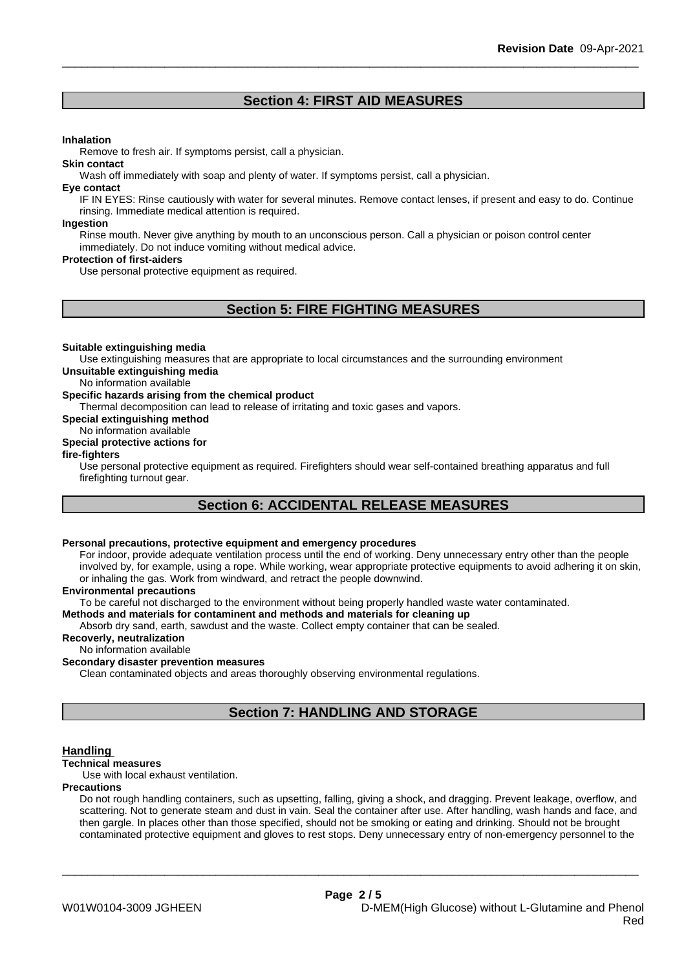## **Section 4: FIRST AID MEASURES**

#### **Inhalation**

Remove to fresh air. If symptoms persist, call a physician.

#### **Skin contact**

Wash off immediately with soap and plenty of water. If symptoms persist, call a physician.

#### **Eye contact**

IF IN EYES: Rinse cautiously with water for several minutes. Remove contact lenses, if present and easy to do. Continue rinsing. Immediate medical attention is required.

#### **Ingestion**

Rinse mouth. Never give anything by mouth to an unconscious person. Call a physician or poison control center immediately. Do not induce vomiting without medical advice.

## **Protection of first-aiders**

Use personal protective equipment as required.

## **Section 5: FIRE FIGHTING MEASURES**

#### **Suitable extinguishing media**

Use extinguishing measures that are appropriate to local circumstances and the surrounding environment **Unsuitable extinguishing media**

No information available

## **Specific hazards arising from the chemical product**

Thermal decomposition can lead to release of irritating and toxic gases and vapors.

**Special extinguishing method**

#### No information available **Special protective actions for**

## **fire-fighters**

Use personal protective equipment as required.Firefighters should wear self-contained breathing apparatus and full firefighting turnout gear.

## **Section 6: ACCIDENTAL RELEASE MEASURES**

## **Personal precautions, protective equipment and emergency procedures**

For indoor, provide adequate ventilation process until the end of working. Deny unnecessary entry other than the people involved by, for example, using a rope. While working, wear appropriate protective equipments to avoid adhering it on skin, or inhaling the gas. Work from windward, and retract the people downwind.

## **Environmental precautions**

To be careful not discharged to the environment without being properly handled waste water contaminated.

## **Methods and materials for contaminent and methods and materials for cleaning up**

Absorb dry sand, earth, sawdust and the waste. Collect empty container that can be sealed.

## **Recoverly, neutralization**

No information available

## **Secondary disaster prevention measures**

Clean contaminated objects and areas thoroughly observing environmental regulations.

## **Section 7: HANDLING AND STORAGE**

## **Handling**

## **Technical measures**

Use with local exhaust ventilation.

#### **Precautions**

Do not rough handling containers, such as upsetting, falling, giving a shock, and dragging. Prevent leakage, overflow, and scattering. Not to generate steam and dust in vain. Seal the container after use. After handling, wash hands and face, and then gargle. In places other than those specified, should not be smoking or eating and drinking. Should not be brought contaminated protective equipment and gloves to rest stops. Deny unnecessary entry of non-emergency personnel to the

\_\_\_\_\_\_\_\_\_\_\_\_\_\_\_\_\_\_\_\_\_\_\_\_\_\_\_\_\_\_\_\_\_\_\_\_\_\_\_\_\_\_\_\_\_\_\_\_\_\_\_\_\_\_\_\_\_\_\_\_\_\_\_\_\_\_\_\_\_\_\_\_\_\_\_\_\_\_\_\_\_\_\_\_\_\_\_\_\_\_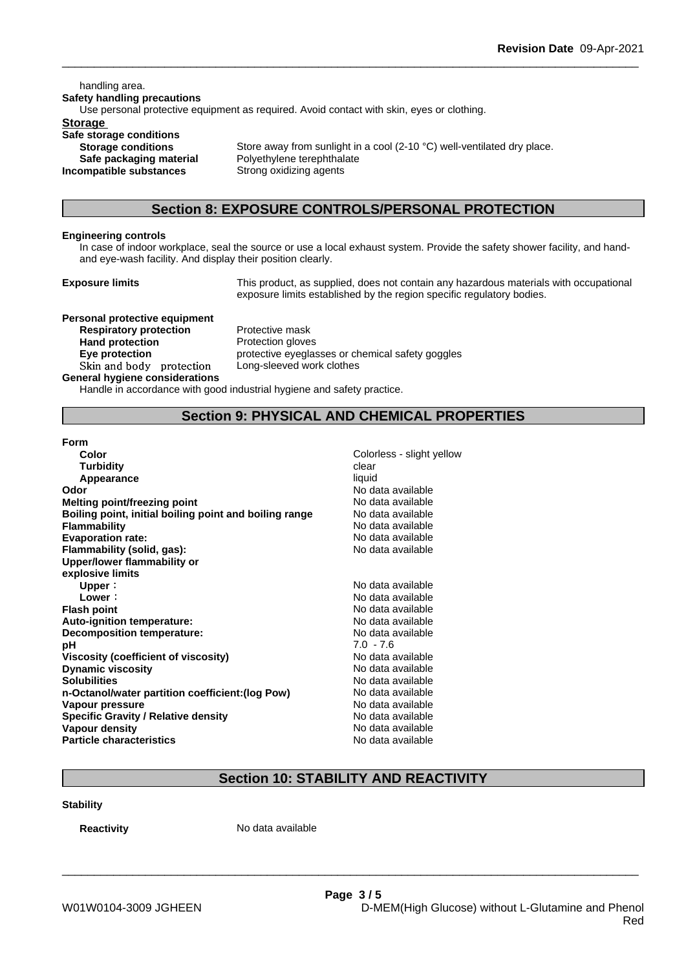handling area. **Safety handling precautions** Use personal protective equipment as required.Avoid contact with skin, eyes or clothing. **Storage Safe storage conditions**

**Incompatible substances** Strong oxidizing agents

**Storage conditions** Store away from sunlight in a cool (2-10 °C) well-ventilated dry place. **Safe packaging material** Polyethylene terephthalate

## **Section 8: EXPOSURE CONTROLS/PERSONAL PROTECTION**

## **Engineering controls**

In case of indoor workplace, seal the source or use a local exhaust system. Provide the safety shower facility, and handand eye-wash facility. And display their position clearly.

**Exposure limits** This product, as supplied, does not contain any hazardous materials with occupational exposure limits established by the region specific regulatory bodies.

**Personal protective equipment Respiratory protection** Protective mask **Hand protection** Protection gloves **Skinandbody protection** Long-sleeved work clothes **General hygiene considerations**

**Eye protection** protective eyeglasses or chemical safety goggles

Handle in accordance with good industrial hygiene and safety practice.

## **Section 9: PHYSICAL AND CHEMICAL PROPERTIES**

| Colorless - slight yellow |
|---------------------------|
| clear                     |
| liquid                    |
| No data available         |
| No data available         |
| No data available         |
| No data available         |
| No data available         |
| No data available         |
|                           |
|                           |
| No data available         |
| No data available         |
| No data available         |
| No data available         |
| No data available         |
| $7.0 - 7.6$               |
| No data available         |
| No data available         |
| No data available         |
| No data available         |
| No data available         |
| No data available         |
| No data available         |
| No data available         |
|                           |

## **Section 10: STABILITY AND REACTIVITY**

\_\_\_\_\_\_\_\_\_\_\_\_\_\_\_\_\_\_\_\_\_\_\_\_\_\_\_\_\_\_\_\_\_\_\_\_\_\_\_\_\_\_\_\_\_\_\_\_\_\_\_\_\_\_\_\_\_\_\_\_\_\_\_\_\_\_\_\_\_\_\_\_\_\_\_\_\_\_\_\_\_\_\_\_\_\_\_\_\_\_

## **Stability**

**Reactivity** No data available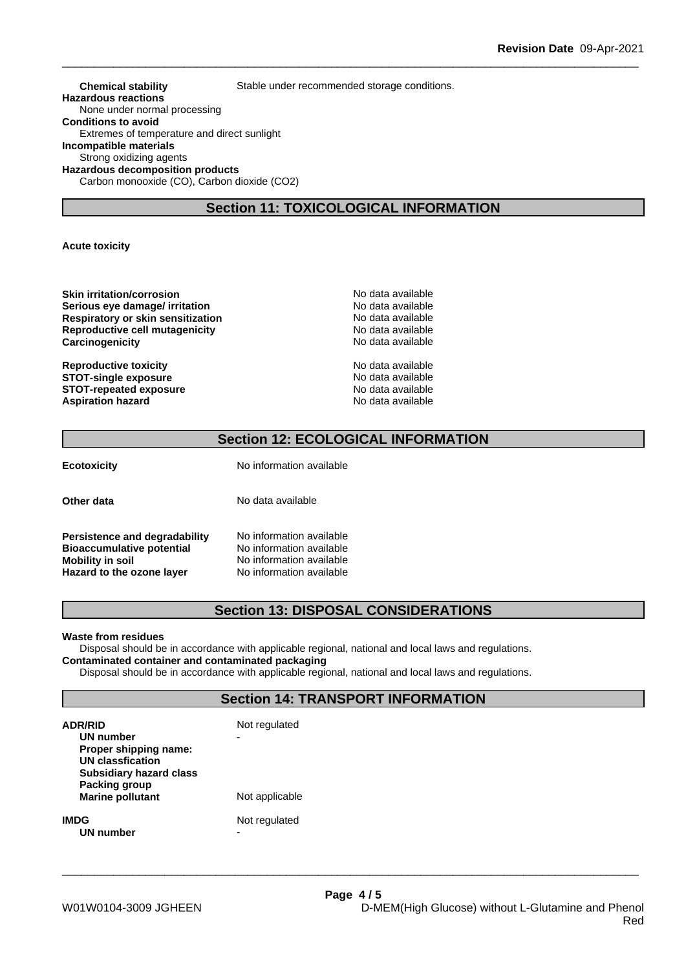**Chemical stability** Stable under recommended storage conditions. **Hazardous reactions** None under normal processing **Conditions to avoid** Extremes of temperature and direct sunlight **Incompatible materials** Strong oxidizing agents **Hazardous decomposition products** Carbon monooxide (CO), Carbon dioxide (CO2)

## **Section 11: TOXICOLOGICAL INFORMATION**

**Acute toxicity**

**Skin irritation/corrosion** No data available **Serious eye damage/ irritation No data available Respiratory or skin sensitization** No data available **Reproductive cell mutagenicity** No data available **Carcinogenicity Carcinogenicity No data available** 

**Reproductive toxicity**  $\qquad \qquad \qquad$  No data available **STOT-single exposure**<br> **STOT-repeated exposure**<br> **STOT-repeated exposure**<br> **No data available STOT-repeated exposure**<br> **Aspiration hazard**<br> **Aspiration hazard**<br> **Aspiration hazard Aspiration hazard** 

## **Section 12: ECOLOGICAL INFORMATION**

**Ecotoxicity** No information available

**Other data** No data available

**Persistence and degradability** No information available **Bioaccumulative potential** No information available **Mobility in soil**<br> **Hazard to the ozone layer** Mo information available **Hazard** to the ozone layer

## **Section 13: DISPOSAL CONSIDERATIONS**

**Waste from residues**

Disposal should be in accordance with applicable regional, national and local laws and regulations. **Contaminated container and contaminated packaging**

Disposal should be in accordance with applicable regional, national and local laws and regulations.

## **Section 14: TRANSPORT INFORMATION**

| <b>ADR/RID</b><br>UN number<br>Proper shipping name:<br>UN classfication<br><b>Subsidiary hazard class</b> | Not regulated<br>- |  |
|------------------------------------------------------------------------------------------------------------|--------------------|--|
| Packing group<br><b>Marine pollutant</b>                                                                   | Not applicable     |  |
| IMDG<br>UN number                                                                                          | Not regulated      |  |

\_\_\_\_\_\_\_\_\_\_\_\_\_\_\_\_\_\_\_\_\_\_\_\_\_\_\_\_\_\_\_\_\_\_\_\_\_\_\_\_\_\_\_\_\_\_\_\_\_\_\_\_\_\_\_\_\_\_\_\_\_\_\_\_\_\_\_\_\_\_\_\_\_\_\_\_\_\_\_\_\_\_\_\_\_\_\_\_\_\_